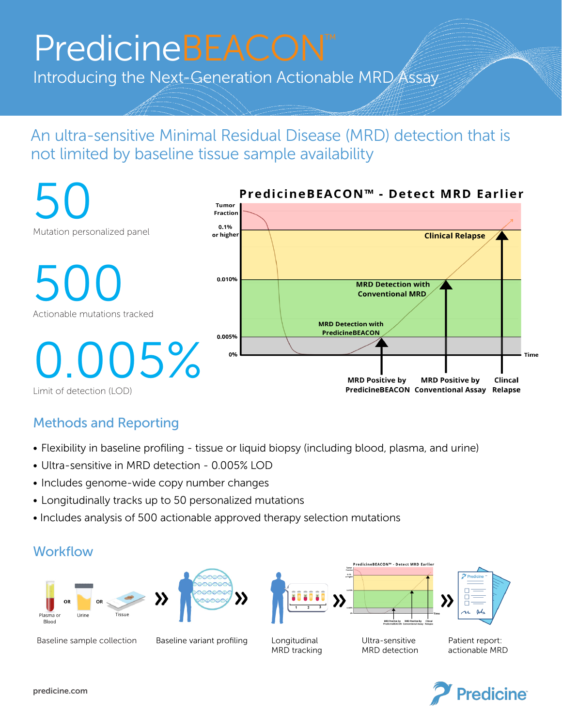# PredicineBEACON PredicineBEACON™

International Action Action Action Action Action Action Action Action Action Action

Introducing the Next-Generation Actionable MRD Assay

### An ultra-sensitive Minimal Residual Disease (MRD) detection that is An ultra-sensitive Minimal Residual Disease (MRD) detection that is not limited by baseline tissue sample availability. not limited by baseline tissue sample availability



#### Methods and Reporting Methods and Reporting

- Flexibility in baseline profiling tissue or liquid biopsy (including blood, plasma, and urine)
- Ultra-sensitive in MRD detection 0.005% LOD
- Includes genome-wide copy number changes  $\mathbf{r}$  is a sequence with constant component copy number changes  $\mathbf{r}$ relates genome wat topy namber thanges Includes genome-wide copy number change
- $\bullet$  Longitudinally tracks up to 50 personalized mutations  $\epsilon$  - Longitudinally tracks un to 50 personalized r
- Includes analysis of 500 actionable approved therapy selection mutations  $\mathbf{r} = \mathbf{r} \cdot \mathbf{r} = \mathbf{r} \cdot \mathbf{r} = \mathbf{r} \cdot \mathbf{r} = \mathbf{r} \cdot \mathbf{r} = \mathbf{r} \cdot \mathbf{r} = \mathbf{r} \cdot \mathbf{r} = \mathbf{r} \cdot \mathbf{r} = \mathbf{r} \cdot \mathbf{r} = \mathbf{r} \cdot \mathbf{r} = \mathbf{r} \cdot \mathbf{r} = \mathbf{r} \cdot \mathbf{r} = \mathbf{r} \cdot \mathbf{r} = \mathbf{r} \cdot \mathbf{r} = \mathbf{r} \cdot \mathbf{r} = \mathbf$ • Includes analysis of 500 actionable approved therapy selection mutations

#### Workflow Workflow





Baseline sample collection Baseline variant profiling

Longitudinal MRD tracking

Ultra-sensitive MRD detection

Patient report: actionable MRD



predicine.com